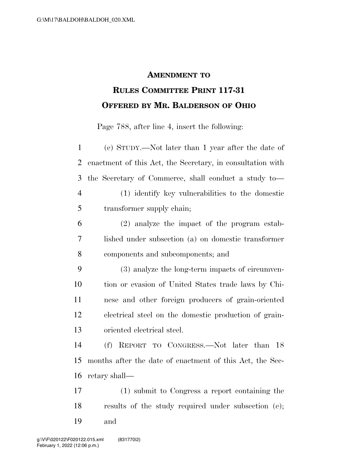## **AMENDMENT TO RULES COMMITTEE PRINT 117-31 OFFERED BY MR. BALDERSON OF OHIO**

Page 788, after line 4, insert the following:

| $\mathbf{1}$   | (e) STUDY.—Not later than 1 year after the date of         |
|----------------|------------------------------------------------------------|
| $\overline{2}$ | enactment of this Act, the Secretary, in consultation with |
| 3              | the Secretary of Commerce, shall conduct a study to-       |
| $\overline{4}$ | (1) identify key vulnerabilities to the domestic           |
| 5              | transformer supply chain;                                  |
| 6              | (2) analyze the impact of the program estab-               |
| $\overline{7}$ | lished under subsection (a) on domestic transformer        |
| 8              | components and subcomponents; and                          |
| 9              | (3) analyze the long-term impacts of circumven-            |
| 10             | tion or evasion of United States trade laws by Chi-        |
| 11             | nese and other foreign producers of grain-oriented         |
| 12             | electrical steel on the domestic production of grain-      |
| 13             | oriented electrical steel.                                 |
| 14             | REPORT TO CONGRESS.—Not later than 18<br>(f)               |
| 15             | months after the date of enactment of this Act, the Sec-   |
| 16             | retary shall—                                              |
| 17             | (1) submit to Congress a report containing the             |
| 18             | results of the study required under subsection (e);        |

and